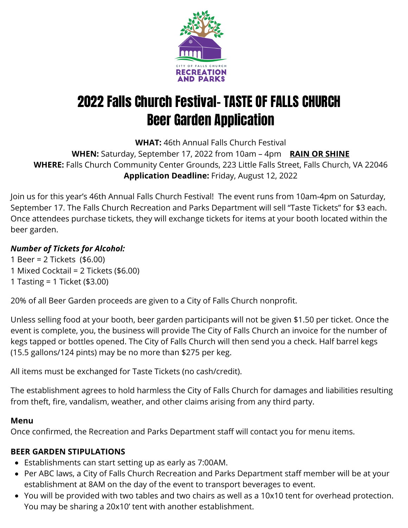

# 2022 Falls Church Festival- TASTE OF FALLS CHURCH Beer Garden Application

**WHAT:** 46th Annual Falls Church Festival

**WHEN:** Saturday, September 17, 2022 from 10am – 4pm **RAIN OR SHINE WHERE:** Falls Church Community Center Grounds, 223 Little Falls Street, Falls Church, VA 22046 **Application Deadline:** Friday, August 12, 2022

Join us for this year's 46th Annual Falls Church Festival! The event runs from 10am-4pm on Saturday, September 17. The Falls Church Recreation and Parks Department will sell "Taste Tickets" for \$3 each. Once attendees purchase tickets, they will exchange tickets for items at your booth located within the beer garden.

### *Number of Tickets for Alcohol:*

- 1 Beer = 2 Tickets (\$6.00) 1 Mixed Cocktail = 2 Tickets (\$6.00) 1 Tasting = 1 Ticket (\$3.00)
- 

20% of all Beer Garden proceeds are given to a City of Falls Church nonprofit.

Unless selling food at your booth, beer garden participants will not be given \$1.50 per ticket. Once the event is complete, you, the business will provide The City of Falls Church an invoice for the number of kegs tapped or bottles opened. The City of Falls Church will then send you a check. Half barrel kegs (15.5 gallons/124 pints) may be no more than \$275 per keg.

All items must be exchanged for Taste Tickets (no cash/credit).

The establishment agrees to hold harmless the City of Falls Church for damages and liabilities resulting from theft, fire, vandalism, weather, and other claims arising from any third party.

#### **Menu**

Once confirmed, the Recreation and Parks Department staff will contact you for menu items.

### **BEER GARDEN STIPULATIONS**

- Establishments can start setting up as early as 7:00AM.
- Per ABC laws, a City of Falls Church Recreation and Parks Department staff member will be at your establishment at 8AM on the day of the event to transport beverages to event.
- You will be provided with two tables and two chairs as well as a 10x10 tent for overhead protection. You may be sharing a 20x10' tent with another establishment.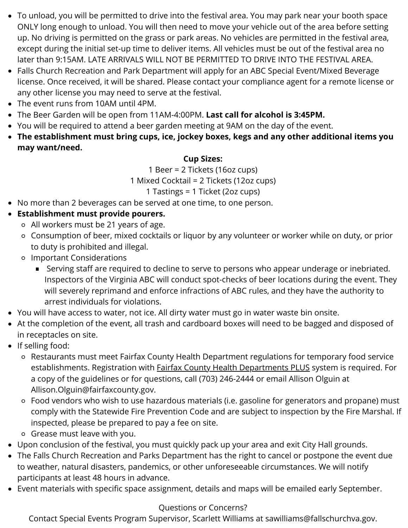- To unload, you will be permitted to drive into the festival area. You may park near your booth space ONLY long enough to unload. You will then need to move your vehicle out of the area before setting up. No driving is permitted on the grass or park areas. No vehicles are permitted in the festival area, except during the initial set-up time to deliver items. All vehicles must be out of the festival area no later than 9:15AM. LATE ARRIVALS WILL NOT BE PERMITTED TO DRIVE INTO THE FESTIVAL AREA.
- Falls Church Recreation and Park Department will apply for an ABC Special Event/Mixed Beverage license. Once received, it will be shared. Please contact your compliance agent for a remote license or any other license you may need to serve at the festival.
- The event runs from 10AM until 4PM.
- The Beer Garden will be open from 11AM-4:00PM. **Last call for alcohol is 3:45PM.**
- You will be required to attend a beer garden meeting at 9AM on the day of the event.
- **The establishment must bring cups, ice, jockey boxes, kegs and any other additional items you may want/need.**

#### **Cup Sizes:**

1 Beer = 2 Tickets (16oz cups)

1 Mixed Cocktail = 2 Tickets (12oz cups)

1 Tastings = 1 Ticket (2oz cups)

- No more than 2 beverages can be served at one time, to one person.
- **Establishment must provide pourers.**
	- All workers must be 21 years of age.
	- Consumption of beer, mixed cocktails or liquor by any volunteer or worker while on duty, or prior to duty is prohibited and illegal.
	- Important Considerations
		- Serving staff are required to decline to serve to persons who appear underage or inebriated. Inspectors of the Virginia ABC will conduct spot-checks of beer locations during the event. They will severely reprimand and enforce infractions of ABC rules, and they have the authority to arrest individuals for violations.
- You will have access to water, not ice. All dirty water must go in water waste bin onsite.
- At the completion of the event, all trash and cardboard boxes will need to be bagged and disposed of in receptacles on site.
- If selling food:
	- Restaurants must meet Fairfax County Health Department regulations for temporary food service establishments. Registration with **Fairfax County Health Departments PLUS** system is required. For a copy of the guidelines or for questions, call (703) 246-2444 or email Allison Olguin at Allison.Olguin@fairfaxcounty.gov.
	- Food vendors who wish to use hazardous materials (i.e. gasoline for generators and propane) must comply with the Statewide Fire Prevention Code and are subject to inspection by the Fire Marshal. If inspected, please be prepared to pay a fee on site.
	- Grease must leave with you.
- Upon conclusion of the festival, you must quickly pack up your area and exit City Hall grounds.
- The Falls Church Recreation and Parks Department has the right to cancel or postpone the event due to weather, natural disasters, pandemics, or other unforeseeable circumstances. We will notify participants at least 48 hours in advance.
- Event materials with specific space assignment, details and maps will be emailed early September.

#### Questions or Concerns?

Contact Special Events Program Supervisor, Scarlett Williams at sawilliams@fallschurchva.gov.